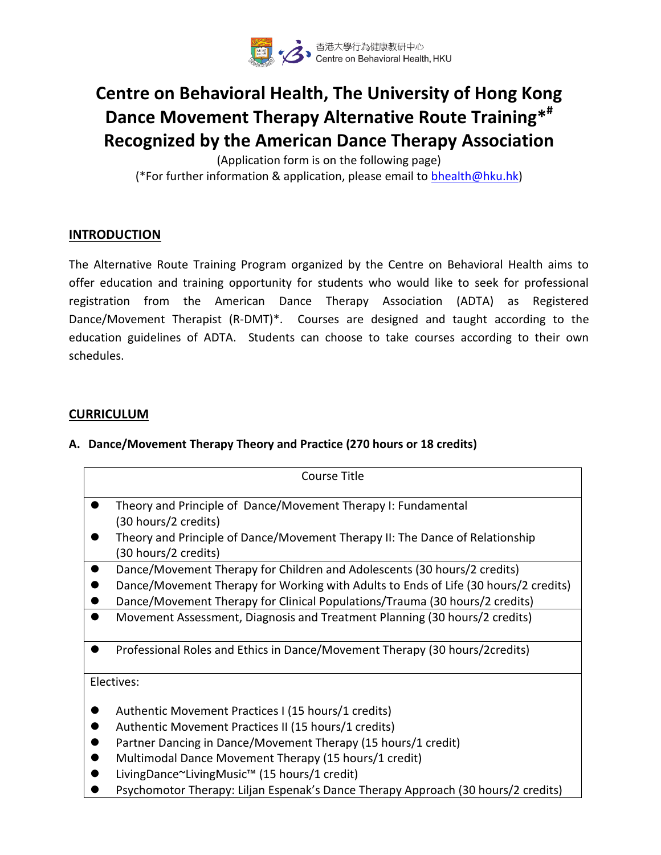

# **Centre on Behavioral Health, The University of Hong Kong Dance Movement Therapy Alternative Route Training\* # Recognized by the American Dance Therapy Association**

(Application form is on the following page) (\*For further information & application, please email to [bhealth@hku.hk\)](mailto:bhealth@hku.hk)

# **INTRODUCTION**

The Alternative Route Training Program organized by the Centre on Behavioral Health aims to offer education and training opportunity for students who would like to seek for professional registration from the American Dance Therapy Association (ADTA) as Registered Dance/Movement Therapist (R-DMT)\*. Courses are designed and taught according to the education guidelines of ADTA. Students can choose to take courses according to their own schedules.

# **CURRICULUM**

# **A. Dance/Movement Therapy Theory and Practice (270 hours or 18 credits)**

| Course Title                                                                        |  |  |
|-------------------------------------------------------------------------------------|--|--|
| Theory and Principle of Dance/Movement Therapy I: Fundamental                       |  |  |
| (30 hours/2 credits)                                                                |  |  |
| Theory and Principle of Dance/Movement Therapy II: The Dance of Relationship        |  |  |
| (30 hours/2 credits)                                                                |  |  |
| Dance/Movement Therapy for Children and Adolescents (30 hours/2 credits)            |  |  |
| Dance/Movement Therapy for Working with Adults to Ends of Life (30 hours/2 credits) |  |  |
| Dance/Movement Therapy for Clinical Populations/Trauma (30 hours/2 credits)         |  |  |
| Movement Assessment, Diagnosis and Treatment Planning (30 hours/2 credits)          |  |  |
| Professional Roles and Ethics in Dance/Movement Therapy (30 hours/2credits)         |  |  |
| Electives:                                                                          |  |  |
| Authentic Movement Practices I (15 hours/1 credits)                                 |  |  |
| Authentic Movement Practices II (15 hours/1 credits)                                |  |  |
| Partner Dancing in Dance/Movement Therapy (15 hours/1 credit)                       |  |  |
| Multimodal Dance Movement Therapy (15 hours/1 credit)                               |  |  |

- LivingDance~LivingMusic™ (15 hours/1 credit)
- Psychomotor Therapy: Liljan Espenak's Dance Therapy Approach (30 hours/2 credits)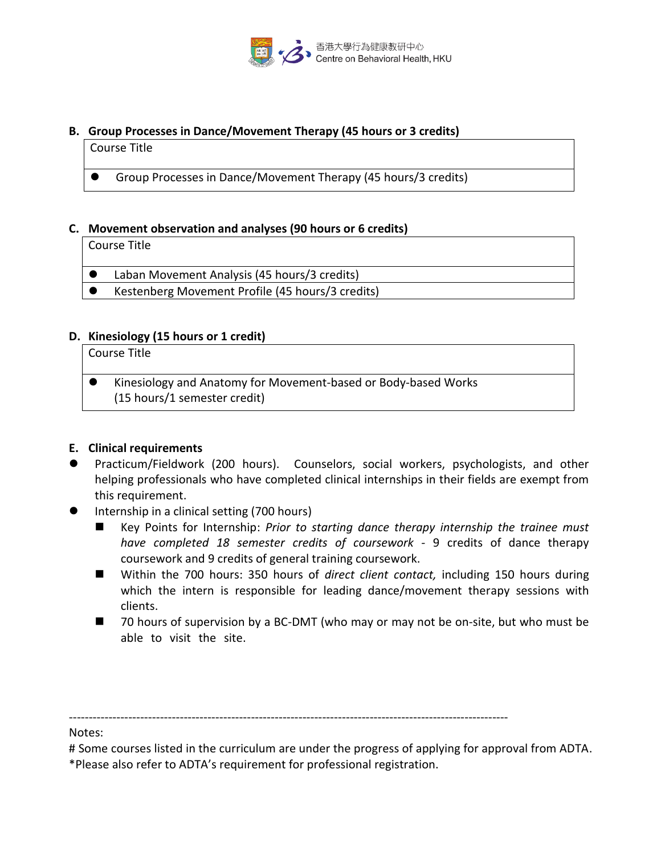

### **B. Group Processes in Dance/Movement Therapy (45 hours or 3 credits)**

#### Course Title

Group Processes in Dance/Movement Therapy (45 hours/3 credits)

#### **C. Movement observation and analyses (90 hours or 6 credits)**

#### Course Title

- Laban Movement Analysis (45 hours/3 credits)
- Kestenberg Movement Profile (45 hours/3 credits)

# **D. Kinesiology (15 hours or 1 credit)**

Course Title

 Kinesiology and Anatomy for Movement-based or Body-based Works (15 hours/1 semester credit)

# **E. Clinical requirements**

- Practicum/Fieldwork (200 hours). Counselors, social workers, psychologists, and other helping professionals who have completed clinical internships in their fields are exempt from this requirement.
- Internship in a clinical setting (700 hours)
	- Key Points for Internship: *Prior to starting dance therapy internship the trainee must have completed 18 semester credits of coursework -* 9 credits of dance therapy coursework and 9 credits of general training coursework.
	- Within the 700 hours: 350 hours of *direct client contact*, including 150 hours during which the intern is responsible for leading dance/movement therapy sessions with clients.
	- 70 hours of supervision by a BC-DMT (who may or may not be on-site, but who must be able to visit the site.

---------------------------------------------------------------------------------------------------------------

Notes:

# Some courses listed in the curriculum are under the progress of applying for approval from ADTA. \*Please also refer to ADTA's requirement for professional registration.